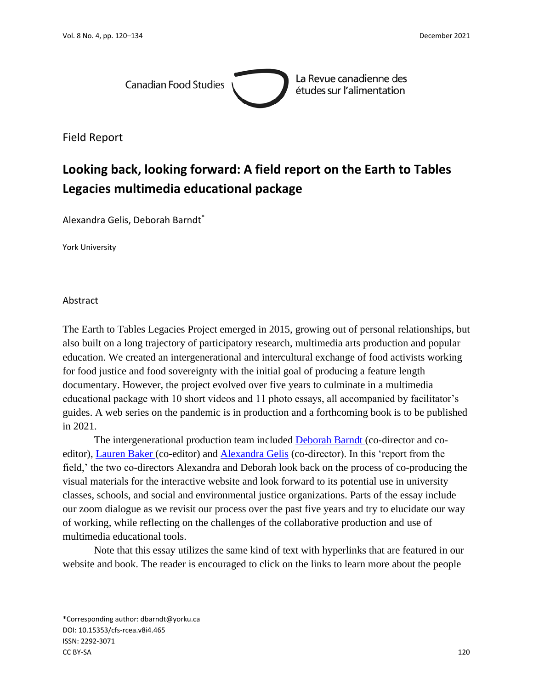

La Revue canadienne des études sur l'alimentation

Field Report

# **Looking back, looking forward: A field report on the Earth to Tables Legacies multimedia educational package**

Alexandra Gelis, Deborah Barndt\*

York University

Abstract

The Earth to Tables Legacies Project emerged in 2015, growing out of personal relationships, but also built on a long trajectory of participatory research, multimedia arts production and popular education. We created an intergenerational and intercultural exchange of food activists working for food justice and food sovereignty with the initial goal of producing a feature length documentary. However, the project evolved over five years to culminate in a multimedia educational package with 10 short videos and 11 photo essays, all accompanied by facilitator's guides. A web series on the pandemic is in production and a forthcoming book is to be published in 2021.

The intergenerational production team included **Deborah Barndt** (co-director and co-editor), [Lauren Baker \(](https://earthtotables.org/collaborators/lauren-baker/)co-editor) and [Alexandra Gelis](https://earthtotables.org/collaborators/alexandra-gelis/) (co-director). In this 'report from the field,' the two co-directors Alexandra and Deborah look back on the process of co-producing the visual materials for the interactive website and look forward to its potential use in university classes, schools, and social and environmental justice organizations. Parts of the essay include our zoom dialogue as we revisit our process over the past five years and try to elucidate our way of working, while reflecting on the challenges of the collaborative production and use of multimedia educational tools.

Note that this essay utilizes the same kind of text with hyperlinks that are featured in our website and book. The reader is encouraged to click on the links to learn more about the people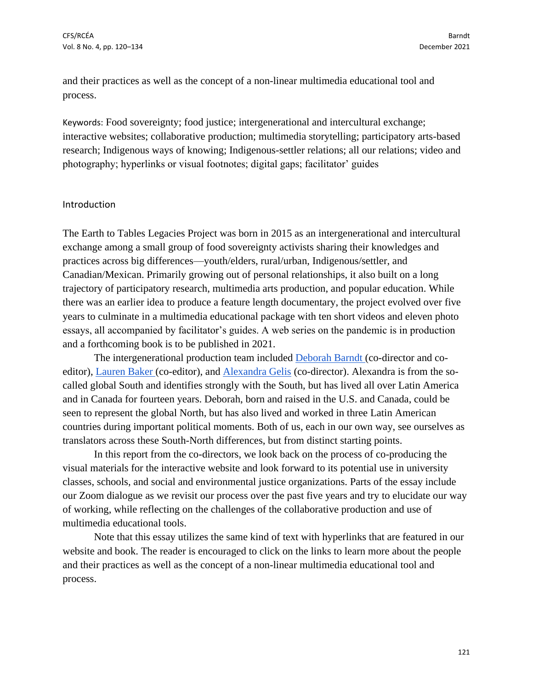and their practices as well as the concept of a non-linear multimedia educational tool and process.

Keywords: Food sovereignty; food justice; intergenerational and intercultural exchange; interactive websites; collaborative production; multimedia storytelling; participatory arts-based research; Indigenous ways of knowing; Indigenous-settler relations; all our relations; video and photography; hyperlinks or visual footnotes; digital gaps; facilitator' guides

#### Introduction

The Earth to Tables Legacies Project was born in 2015 as an intergenerational and intercultural exchange among a small group of food sovereignty activists sharing their knowledges and practices across big differences—youth/elders, rural/urban, Indigenous/settler, and Canadian/Mexican. Primarily growing out of personal relationships, it also built on a long trajectory of participatory research, multimedia arts production, and popular education. While there was an earlier idea to produce a feature length documentary, the project evolved over five years to culminate in a multimedia educational package with ten short videos and eleven photo essays, all accompanied by facilitator's guides. A web series on the pandemic is in production and a forthcoming book is to be published in 2021.

The intergenerational production team included [Deborah Barndt \(](https://earthtotables.org/collaborators/deborah-barndt/)co-director and coeditor), [Lauren Baker \(](https://earthtotables.org/collaborators/lauren-baker/)co-editor), and [Alexandra Gelis](https://earthtotables.org/collaborators/alexandra-gelis/) (co-director). Alexandra is from the socalled global South and identifies strongly with the South, but has lived all over Latin America and in Canada for fourteen years. Deborah, born and raised in the U.S. and Canada, could be seen to represent the global North, but has also lived and worked in three Latin American countries during important political moments. Both of us, each in our own way, see ourselves as translators across these South-North differences, but from distinct starting points.

In this report from the co-directors, we look back on the process of co-producing the visual materials for the interactive website and look forward to its potential use in university classes, schools, and social and environmental justice organizations. Parts of the essay include our Zoom dialogue as we revisit our process over the past five years and try to elucidate our way of working, while reflecting on the challenges of the collaborative production and use of multimedia educational tools.

Note that this essay utilizes the same kind of text with hyperlinks that are featured in our website and book. The reader is encouraged to click on the links to learn more about the people and their practices as well as the concept of a non-linear multimedia educational tool and process.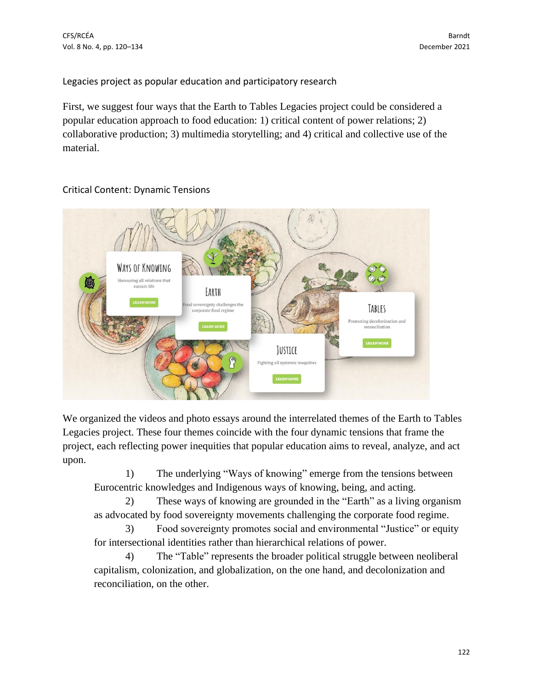Legacies project as popular education and participatory research

First, we suggest four ways that the Earth to Tables Legacies project could be considered a popular education approach to food education: 1) critical content of power relations; 2) collaborative production; 3) multimedia storytelling; and 4) critical and collective use of the material.



## Critical Content: Dynamic Tensions

We organized the videos and photo essays around the interrelated themes of the Earth to Tables Legacies project. These four themes coincide with the four dynamic tensions that frame the project, each reflecting power inequities that popular education aims to reveal, analyze, and act upon.

1) The underlying "Ways of knowing" emerge from the tensions between Eurocentric knowledges and Indigenous ways of knowing, being, and acting.

2) These ways of knowing are grounded in the "Earth" as a living organism as advocated by food sovereignty movements challenging the corporate food regime.

3) Food sovereignty promotes social and environmental "Justice" or equity for intersectional identities rather than hierarchical relations of power.

4) The "Table" represents the broader political struggle between neoliberal capitalism, colonization, and globalization, on the one hand, and decolonization and reconciliation, on the other.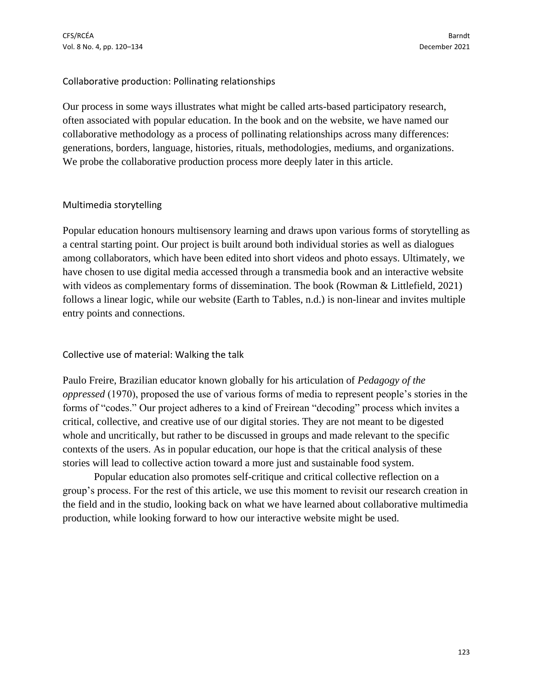### Collaborative production: Pollinating relationships

Our process in some ways illustrates what might be called arts-based participatory research, often associated with popular education. In the book and on the website, we have named our collaborative methodology as a process of pollinating relationships across many differences: generations, borders, language, histories, rituals, methodologies, mediums, and organizations. We probe the collaborative production process more deeply later in this article.

## Multimedia storytelling

Popular education honours multisensory learning and draws upon various forms of storytelling as a central starting point. Our project is built around both individual stories as well as dialogues among collaborators, which have been edited into short videos and photo essays. Ultimately, we have chosen to use digital media accessed through a transmedia book and an interactive website with videos as complementary forms of dissemination. The book (Rowman & Littlefield, 2021) follows a linear logic, while our website (Earth to Tables, n.d.) is non-linear and invites multiple entry points and connections.

## Collective use of material: Walking the talk

Paulo Freire, Brazilian educator known globally for his articulation of *Pedagogy of the oppressed* (1970), proposed the use of various forms of media to represent people's stories in the forms of "codes." Our project adheres to a kind of Freirean "decoding" process which invites a critical, collective, and creative use of our digital stories. They are not meant to be digested whole and uncritically, but rather to be discussed in groups and made relevant to the specific contexts of the users. As in popular education, our hope is that the critical analysis of these stories will lead to collective action toward a more just and sustainable food system.

Popular education also promotes self-critique and critical collective reflection on a group's process. For the rest of this article, we use this moment to revisit our research creation in the field and in the studio, looking back on what we have learned about collaborative multimedia production, while looking forward to how our interactive website might be used.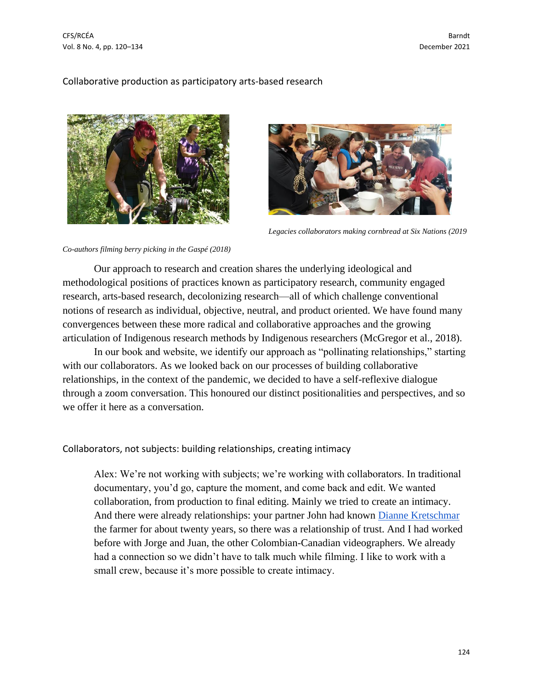CFS/RCÉA Barndt Vol. 8 No. 4, pp. 120–134 December 2021

#### Collaborative production as participatory arts-based research





*Legacies collaborators making cornbread at Six Nations (2019*

#### *Co-authors filming berry picking in the Gaspé (2018)*

Our approach to research and creation shares the underlying ideological and methodological positions of practices known as participatory research, community engaged research, arts-based research, decolonizing research—all of which challenge conventional notions of research as individual, objective, neutral, and product oriented. We have found many convergences between these more radical and collaborative approaches and the growing articulation of Indigenous research methods by Indigenous researchers (McGregor et al., 2018).

In our book and website, we identify our approach as "pollinating relationships," starting with our collaborators. As we looked back on our processes of building collaborative relationships, in the context of the pandemic, we decided to have a self-reflexive dialogue through a zoom conversation. This honoured our distinct positionalities and perspectives, and so we offer it here as a conversation.

Collaborators, not subjects: building relationships, creating intimacy

Alex: We're not working with subjects; we're working with collaborators. In traditional documentary, you'd go, capture the moment, and come back and edit. We wanted collaboration, from production to final editing. Mainly we tried to create an intimacy. And there were already relationships: your partner John had known [Dianne Kretschmar](https://earthtotables.org/collaborators/dianne-kretschmar/) the farmer for about twenty years, so there was a relationship of trust. And I had worked before with Jorge and Juan, the other Colombian-Canadian videographers. We already had a connection so we didn't have to talk much while filming. I like to work with a small crew, because it's more possible to create intimacy.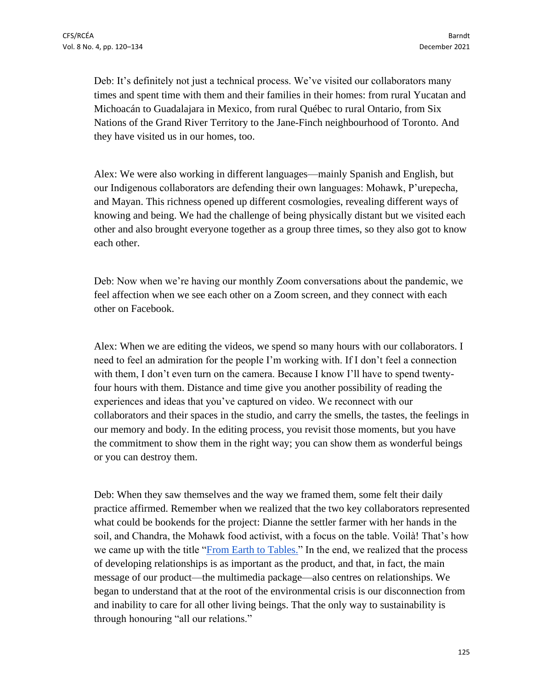Deb: It's definitely not just a technical process. We've visited our collaborators many times and spent time with them and their families in their homes: from rural Yucatan and Michoacán to Guadalajara in Mexico, from rural Québec to rural Ontario, from Six Nations of the Grand River Territory to the Jane-Finch neighbourhood of Toronto. And they have visited us in our homes, too.

Alex: We were also working in different languages—mainly Spanish and English, but our Indigenous collaborators are defending their own languages: Mohawk, P'urepecha, and Mayan. This richness opened up different cosmologies, revealing different ways of knowing and being. We had the challenge of being physically distant but we visited each other and also brought everyone together as a group three times, so they also got to know each other.

Deb: Now when we're having our monthly Zoom conversations about the pandemic, we feel affection when we see each other on a Zoom screen, and they connect with each other on Facebook.

Alex: When we are editing the videos, we spend so many hours with our collaborators. I need to feel an admiration for the people I'm working with. If I don't feel a connection with them, I don't even turn on the camera. Because I know I'll have to spend twentyfour hours with them. Distance and time give you another possibility of reading the experiences and ideas that you've captured on video. We reconnect with our collaborators and their spaces in the studio, and carry the smells, the tastes, the feelings in our memory and body. In the editing process, you revisit those moments, but you have the commitment to show them in the right way; you can show them as wonderful beings or you can destroy them.

Deb: When they saw themselves and the way we framed them, some felt their daily practice affirmed. Remember when we realized that the two key collaborators represented what could be bookends for the project: Dianne the settler farmer with her hands in the soil, and Chandra, the Mohawk food activist, with a focus on the table. Voilà! That's how we came up with the title ["From Earth to Tables.](https://earthtotables.org/setting-the-table/the-story-of-a-project/)" In the end, we realized that the process of developing relationships is as important as the product, and that, in fact, the main message of our product—the multimedia package—also centres on relationships. We began to understand that at the root of the environmental crisis is our disconnection from and inability to care for all other living beings. That the only way to sustainability is through honouring "all our relations."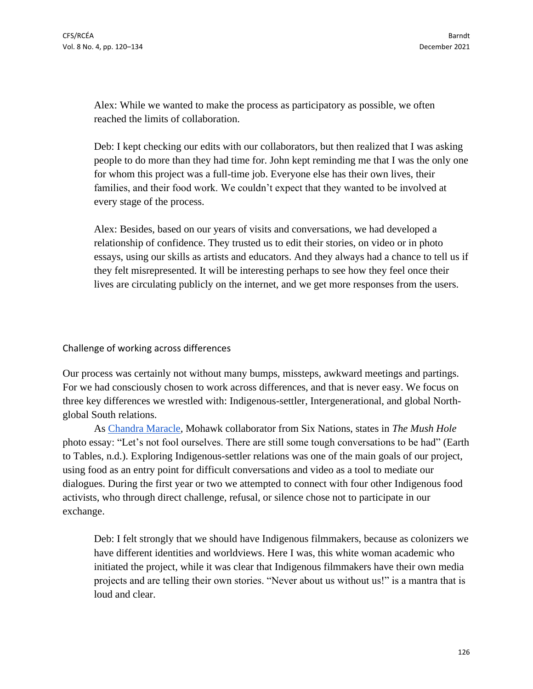Alex: While we wanted to make the process as participatory as possible, we often reached the limits of collaboration.

Deb: I kept checking our edits with our collaborators, but then realized that I was asking people to do more than they had time for. John kept reminding me that I was the only one for whom this project was a full-time job. Everyone else has their own lives, their families, and their food work. We couldn't expect that they wanted to be involved at every stage of the process.

Alex: Besides, based on our years of visits and conversations, we had developed a relationship of confidence. They trusted us to edit their stories, on video or in photo essays, using our skills as artists and educators. And they always had a chance to tell us if they felt misrepresented. It will be interesting perhaps to see how they feel once their lives are circulating publicly on the internet, and we get more responses from the users.

### Challenge of working across differences

Our process was certainly not without many bumps, missteps, awkward meetings and partings. For we had consciously chosen to work across differences, and that is never easy. We focus on three key differences we wrestled with: Indigenous-settler, Intergenerational, and global Northglobal South relations.

As [Chandra Maracle,](https://earthtotables.org/collaborators/chandra-maracle/) Mohawk collaborator from Six Nations, states in *The Mush Hole* photo essay: "Let's not fool ourselves. There are still some tough conversations to be had" (Earth to Tables, n.d.). Exploring Indigenous-settler relations was one of the main goals of our project, using food as an entry point for difficult conversations and video as a tool to mediate our dialogues. During the first year or two we attempted to connect with four other Indigenous food activists, who through direct challenge, refusal, or silence chose not to participate in our exchange.

Deb: I felt strongly that we should have Indigenous filmmakers, because as colonizers we have different identities and worldviews. Here I was, this white woman academic who initiated the project, while it was clear that Indigenous filmmakers have their own media projects and are telling their own stories. "Never about us without us!" is a mantra that is loud and clear.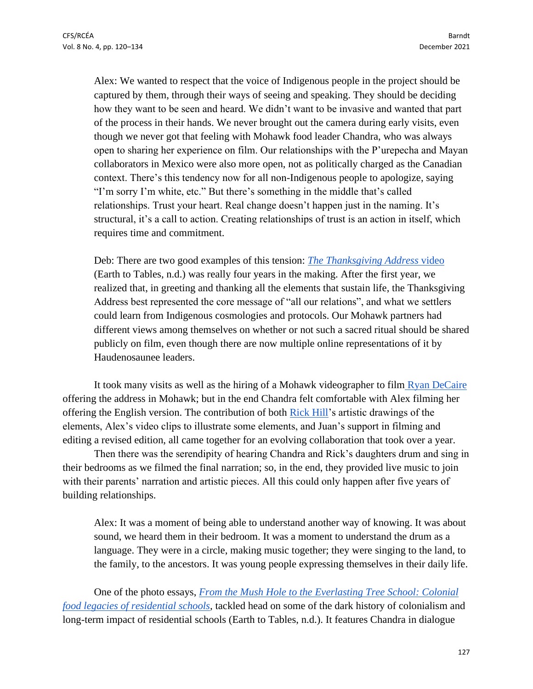Alex: We wanted to respect that the voice of Indigenous people in the project should be captured by them, through their ways of seeing and speaking. They should be deciding how they want to be seen and heard. We didn't want to be invasive and wanted that part of the process in their hands. We never brought out the camera during early visits, even though we never got that feeling with Mohawk food leader Chandra, who was always open to sharing her experience on film. Our relationships with the P'urepecha and Mayan collaborators in Mexico were also more open, not as politically charged as the Canadian context. There's this tendency now for all non-Indigenous people to apologize, saying "I'm sorry I'm white, etc." But there's something in the middle that's called relationships. Trust your heart. Real change doesn't happen just in the naming. It's structural, it's a call to action. Creating relationships of trust is an action in itself, which requires time and commitment.

Deb: There are two good examples of this tension: *[The Thanksgiving Address](https://earthtotables.org/essays/the-thanksgiving-address/)* video (Earth to Tables, n.d.) was really four years in the making. After the first year, we realized that, in greeting and thanking all the elements that sustain life, the Thanksgiving Address best represented the core message of "all our relations", and what we settlers could learn from Indigenous cosmologies and protocols. Our Mohawk partners had different views among themselves on whether or not such a sacred ritual should be shared publicly on film, even though there are now multiple online representations of it by Haudenosaunee leaders.

It took many visits as well as the hiring of a Mohawk videographer to film [Ryan DeCaire](https://earthtotables.org/collaborators/ryan-decaire/) offering the address in Mohawk; but in the end Chandra felt comfortable with Alex filming her offering the English version. The contribution of both [Rick Hill'](https://earthtotables.org/collaborators/rick-hill/)s artistic drawings of the elements, Alex's video clips to illustrate some elements, and Juan's support in filming and editing a revised edition, all came together for an evolving collaboration that took over a year.

Then there was the serendipity of hearing Chandra and Rick's daughters drum and sing in their bedrooms as we filmed the final narration; so, in the end, they provided live music to join with their parents' narration and artistic pieces. All this could only happen after five years of building relationships.

Alex: It was a moment of being able to understand another way of knowing. It was about sound, we heard them in their bedroom. It was a moment to understand the drum as a language. They were in a circle, making music together; they were singing to the land, to the family, to the ancestors. It was young people expressing themselves in their daily life.

One of the photo essays, *[From the Mush Hole to the Everlasting Tree School: Colonial](https://earthtotables.org/essays/mush-hole/)  [food legacies of residential schools,](https://earthtotables.org/essays/mush-hole/)* tackled head on some of the dark history of colonialism and long-term impact of residential schools (Earth to Tables, n.d.). It features Chandra in dialogue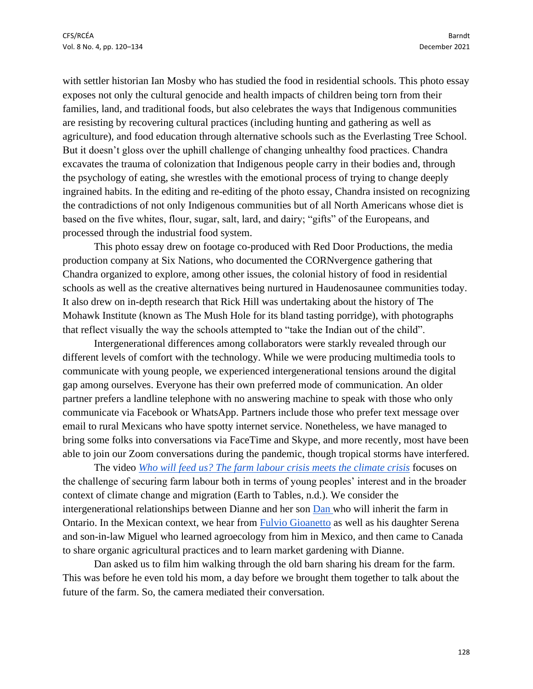with settler historian Ian Mosby who has studied the food in residential schools. This photo essay exposes not only the cultural genocide and health impacts of children being torn from their families, land, and traditional foods, but also celebrates the ways that Indigenous communities are resisting by recovering cultural practices (including hunting and gathering as well as agriculture), and food education through alternative schools such as the Everlasting Tree School. But it doesn't gloss over the uphill challenge of changing unhealthy food practices. Chandra excavates the trauma of colonization that Indigenous people carry in their bodies and, through the psychology of eating, she wrestles with the emotional process of trying to change deeply ingrained habits. In the editing and re-editing of the photo essay, Chandra insisted on recognizing the contradictions of not only Indigenous communities but of all North Americans whose diet is based on the five whites, flour, sugar, salt, lard, and dairy; "gifts" of the Europeans, and processed through the industrial food system.

This photo essay drew on footage co-produced with Red Door Productions, the media production company at Six Nations, who documented the CORNvergence gathering that Chandra organized to explore, among other issues, the colonial history of food in residential schools as well as the creative alternatives being nurtured in Haudenosaunee communities today. It also drew on in-depth research that Rick Hill was undertaking about the history of The Mohawk Institute (known as The Mush Hole for its bland tasting porridge), with photographs that reflect visually the way the schools attempted to "take the Indian out of the child".

Intergenerational differences among collaborators were starkly revealed through our different levels of comfort with the technology. While we were producing multimedia tools to communicate with young people, we experienced intergenerational tensions around the digital gap among ourselves. Everyone has their own preferred mode of communication. An older partner prefers a landline telephone with no answering machine to speak with those who only communicate via Facebook or WhatsApp. Partners include those who prefer text message over email to rural Mexicans who have spotty internet service. Nonetheless, we have managed to bring some folks into conversations via FaceTime and Skype, and more recently, most have been able to join our Zoom conversations during the pandemic, though tropical storms have interfered.

The video *[Who will feed us? The farm labour crisis meets the](https://earthtotables.org/essays/who-will-feed-us/) climate crisis* focuses on the challenge of securing farm labour both in terms of young peoples' interest and in the broader context of climate change and migration (Earth to Tables, n.d.). We consider the intergenerational relationships between Dianne and her son [Dan w](https://earthtotables.org/collaborators/dan-kretschmar/)ho will inherit the farm in Ontario. In the Mexican context, we hear from [Fulvio Gioanetto](https://earthtotables.org/collaborators/fulvio-gioanetto/) as well as his daughter Serena and son-in-law Miguel who learned agroecology from him in Mexico, and then came to Canada to share organic agricultural practices and to learn market gardening with Dianne.

Dan asked us to film him walking through the old barn sharing his dream for the farm. This was before he even told his mom, a day before we brought them together to talk about the future of the farm. So, the camera mediated their conversation.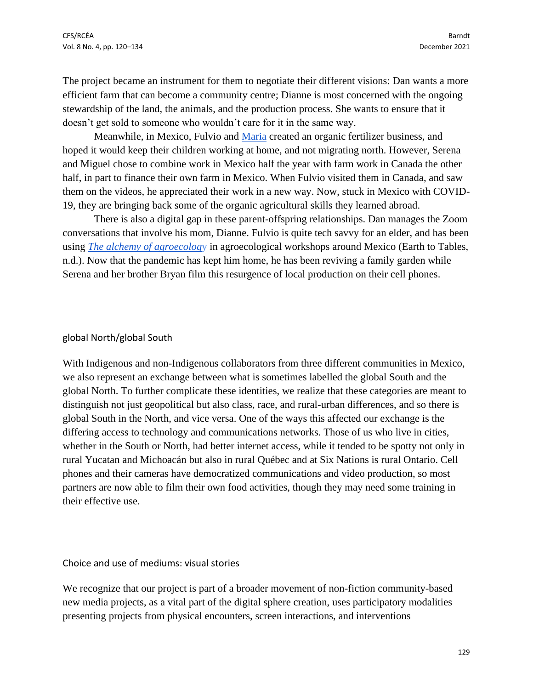The project became an instrument for them to negotiate their different visions: Dan wants a more efficient farm that can become a community centre; Dianne is most concerned with the ongoing stewardship of the land, the animals, and the production process. She wants to ensure that it doesn't get sold to someone who wouldn't care for it in the same way.

Meanwhile, in Mexico, Fulvio and [Maria](https://earthtotables.org/collaborators/maria-blas-cacari/) created an organic fertilizer business, and hoped it would keep their children working at home, and not migrating north. However, Serena and Miguel chose to combine work in Mexico half the year with farm work in Canada the other half, in part to finance their own farm in Mexico. When Fulvio visited them in Canada, and saw them on the videos, he appreciated their work in a new way. Now, stuck in Mexico with COVID-19, they are bringing back some of the organic agricultural skills they learned abroad.

There is also a digital gap in these parent-offspring relationships. Dan manages the Zoom conversations that involve his mom, Dianne. Fulvio is quite tech savvy for an elder, and has been using *[The alchemy of agroecolog](https://earthtotables.org/essays/the-alchemy-of-agroecology/)*y in agroecological workshops around Mexico (Earth to Tables, n.d.). Now that the pandemic has kept him home, he has been reviving a family garden while Serena and her brother Bryan film this resurgence of local production on their cell phones.

#### global North/global South

With Indigenous and non-Indigenous collaborators from three different communities in Mexico, we also represent an exchange between what is sometimes labelled the global South and the global North. To further complicate these identities, we realize that these categories are meant to distinguish not just geopolitical but also class, race, and rural-urban differences, and so there is global South in the North, and vice versa. One of the ways this affected our exchange is the differing access to technology and communications networks. Those of us who live in cities, whether in the South or North, had better internet access, while it tended to be spotty not only in rural Yucatan and Michoacán but also in rural Québec and at Six Nations is rural Ontario. Cell phones and their cameras have democratized communications and video production, so most partners are now able to film their own food activities, though they may need some training in their effective use.

Choice and use of mediums: visual stories

We recognize that our project is part of a broader movement of non-fiction community-based new media projects, as a vital part of the digital sphere creation, uses participatory modalities presenting projects from physical encounters, screen interactions, and interventions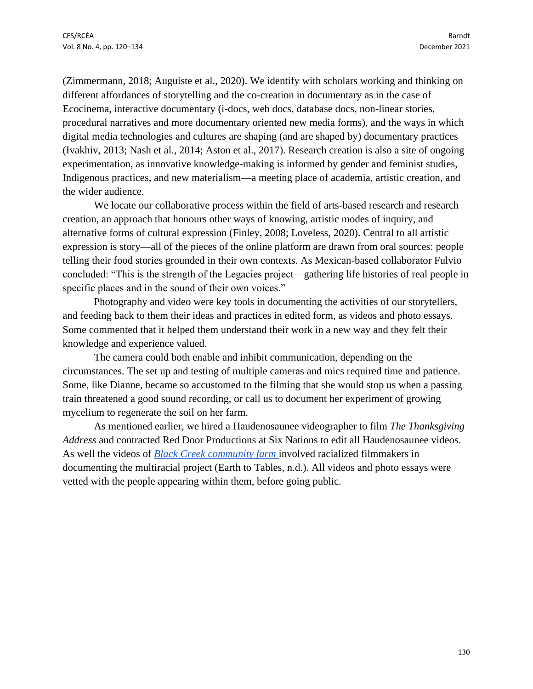(Zimmermann, 2018; Auguiste et al., 2020). We identify with scholars working and thinking on different affordances of storytelling and the co-creation in documentary as in the case of Ecocinema, interactive documentary (i-docs, web docs, database docs, non-linear stories, procedural narratives and more documentary oriented new media forms), and the ways in which digital media technologies and cultures are shaping (and are shaped by) documentary practices (Ivakhiv, 2013; Nash et al., 2014; Aston et al., 2017). Research creation is also a site of ongoing experimentation, as innovative knowledge-making is informed by gender and feminist studies, Indigenous practices, and new materialism—a meeting place of academia, artistic creation, and the wider audience.

We locate our collaborative process within the field of arts-based research and research creation, an approach that honours other ways of knowing, artistic modes of inquiry, and alternative forms of cultural expression (Finley, 2008; Loveless, 2020). Central to all artistic expression is story—all of the pieces of the online platform are drawn from oral sources: people telling their food stories grounded in their own contexts. As Mexican-based collaborator Fulvio concluded: "This is the strength of the Legacies project—gathering life histories of real people in specific places and in the sound of their own voices."

Photography and video were key tools in documenting the activities of our storytellers, and feeding back to them their ideas and practices in edited form, as videos and photo essays. Some commented that it helped them understand their work in a new way and they felt their knowledge and experience valued.

The camera could both enable and inhibit communication, depending on the circumstances. The set up and testing of multiple cameras and mics required time and patience. Some, like Dianne, became so accustomed to the filming that she would stop us when a passing train threatened a good sound recording, or call us to document her experiment of growing mycelium to regenerate the soil on her farm.

As mentioned earlier, we hired a Haudenosaunee videographer to film *The Thanksgiving Address* and contracted Red Door Productions at Six Nations to edit all Haudenosaunee videos. As well the videos of *[Black Creek community farm](https://earthtotables.org/essays/black-creek-community-farm/)* involved racialized filmmakers in documenting the multiracial project (Earth to Tables, n.d.). All videos and photo essays were vetted with the people appearing within them, before going public.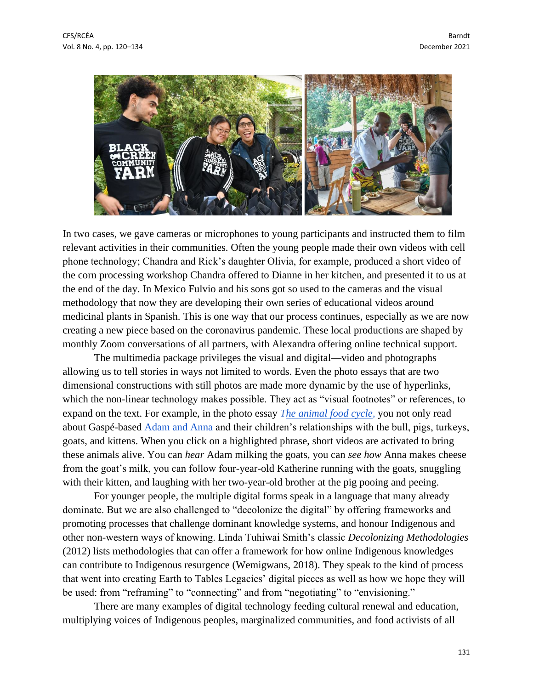

In two cases, we gave cameras or microphones to young participants and instructed them to film relevant activities in their communities. Often the young people made their own videos with cell phone technology; Chandra and Rick's daughter Olivia, for example, produced a short video of the corn processing workshop Chandra offered to Dianne in her kitchen, and presented it to us at the end of the day. In Mexico Fulvio and his sons got so used to the cameras and the visual methodology that now they are developing their own series of educational videos around medicinal plants in Spanish. This is one way that our process continues, especially as we are now creating a new piece based on the coronavirus pandemic. These local productions are shaped by monthly Zoom conversations of all partners, with Alexandra offering online technical support.

The multimedia package privileges the visual and digital—video and photographs allowing us to tell stories in ways not limited to words. Even the photo essays that are two dimensional constructions with still photos are made more dynamic by the use of hyperlinks, which the non-linear technology makes possible. They act as "visual footnotes" or references, to expand on the text. For example, in the photo essay *[The animal food cycle](https://earthtotables.org/essays/the-animal-food-cycle/)*, you not only read about Gaspé-based [Adam and Anna a](https://earthtotables.org/collaborators/anna-murtaugh-adam-royal/)nd their children's relationships with the bull, pigs, turkeys, goats, and kittens. When you click on a highlighted phrase, short videos are activated to bring these animals alive. You can *hear* Adam milking the goats, you can *see how* Anna makes cheese from the goat's milk, you can follow four-year-old Katherine running with the goats, snuggling with their kitten, and laughing with her two-year-old brother at the pig pooing and peeing.

For younger people, the multiple digital forms speak in a language that many already dominate. But we are also challenged to "decolonize the digital" by offering frameworks and promoting processes that challenge dominant knowledge systems, and honour Indigenous and other non-western ways of knowing. Linda Tuhiwai Smith's classic *Decolonizing Methodologies* (2012) lists methodologies that can offer a framework for how online Indigenous knowledges can contribute to Indigenous resurgence (Wemigwans, 2018). They speak to the kind of process that went into creating Earth to Tables Legacies' digital pieces as well as how we hope they will be used: from "reframing" to "connecting" and from "negotiating" to "envisioning."

There are many examples of digital technology feeding cultural renewal and education, multiplying voices of Indigenous peoples, marginalized communities, and food activists of all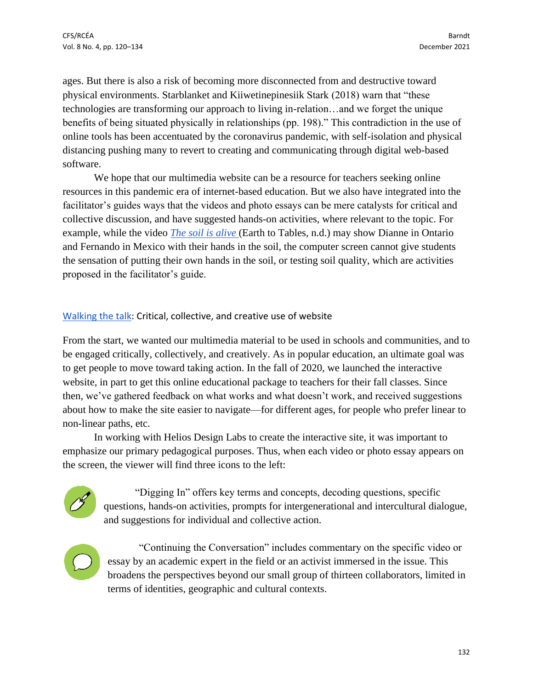ages. But there is also a risk of becoming more disconnected from and destructive toward physical environments. Starblanket and Kiiwetinepinesiik Stark (2018) warn that "these technologies are transforming our approach to living in-relation…and we forget the unique benefits of being situated physically in relationships (pp. 198)." This contradiction in the use of online tools has been accentuated by the coronavirus pandemic, with self-isolation and physical distancing pushing many to revert to creating and communicating through digital web-based software.

We hope that our multimedia website can be a resource for teachers seeking online resources in this pandemic era of internet-based education. But we also have integrated into the facilitator's guides ways that the videos and photo essays can be mere catalysts for critical and collective discussion, and have suggested hands-on activities, where relevant to the topic. For example, while the video *[The soil is alive](https://earthtotables.org/essays/the-soil-is-alive/)* (Earth to Tables, n.d.) may show Dianne in Ontario and Fernando in Mexico with their hands in the soil, the computer screen cannot give students the sensation of putting their own hands in the soil, or testing soil quality, which are activities proposed in the facilitator's guide.

## [Walking the talk:](https://earthtotables.org/setting-the-table/walking-the-talk/) Critical, collective, and creative use of website

From the start, we wanted our multimedia material to be used in schools and communities, and to be engaged critically, collectively, and creatively. As in popular education, an ultimate goal was to get people to move toward taking action. In the fall of 2020, we launched the interactive website, in part to get this online educational package to teachers for their fall classes. Since then, we've gathered feedback on what works and what doesn't work, and received suggestions about how to make the site easier to navigate—for different ages, for people who prefer linear to non-linear paths, etc.

In working with Helios Design Labs to create the interactive site, it was important to emphasize our primary pedagogical purposes. Thus, when each video or photo essay appears on the screen, the viewer will find three icons to the left:



"Digging In" offers key terms and concepts, decoding questions, specific questions, hands-on activities, prompts for intergenerational and intercultural dialogue, and suggestions for individual and collective action.



"Continuing the Conversation" includes commentary on the specific video or essay by an academic expert in the field or an activist immersed in the issue. This broadens the perspectives beyond our small group of thirteen collaborators, limited in terms of identities, geographic and cultural contexts.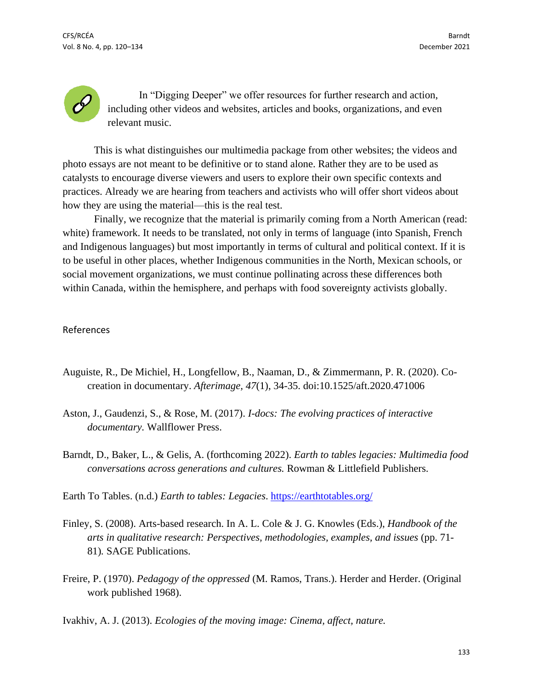In "Digging Deeper" we offer resources for further research and action, including other videos and websites, articles and books, organizations, and even relevant music.

This is what distinguishes our multimedia package from other websites; the videos and photo essays are not meant to be definitive or to stand alone. Rather they are to be used as catalysts to encourage diverse viewers and users to explore their own specific contexts and practices. Already we are hearing from teachers and activists who will offer short videos about how they are using the material—this is the real test.

Finally, we recognize that the material is primarily coming from a North American (read: white) framework. It needs to be translated, not only in terms of language (into Spanish, French and Indigenous languages) but most importantly in terms of cultural and political context. If it is to be useful in other places, whether Indigenous communities in the North, Mexican schools, or social movement organizations, we must continue pollinating across these differences both within Canada, within the hemisphere, and perhaps with food sovereignty activists globally.

### References

- Auguiste, R., De Michiel, H., Longfellow, B., Naaman, D., & Zimmermann, P. R. (2020). Cocreation in documentary. *Afterimage, 47*(1), 34-35. doi:10.1525/aft.2020.471006
- Aston, J., Gaudenzi, S., & Rose, M. (2017). *I-docs: The evolving practices of interactive documentary.* Wallflower Press.
- Barndt, D., Baker, L., & Gelis, A. (forthcoming 2022). *Earth to tables legacies: Multimedia food conversations across generations and cultures.* Rowman & Littlefield Publishers.

Earth To Tables. (n.d.) *Earth to tables: Legacies*.<https://earthtotables.org/>

- Finley, S. (2008). Arts-based research. In A. L. Cole & J. G. Knowles (Eds.), *Handbook of the arts in qualitative research: Perspectives, methodologies, examples, and issues* (pp. 71- 81)*.* SAGE Publications.
- Freire, P. (1970). *Pedagogy of the oppressed* (M. Ramos, Trans.). Herder and Herder. (Original work published 1968).

Ivakhiv, A. J. (2013). *Ecologies of the moving image: Cinema, affect, nature.*